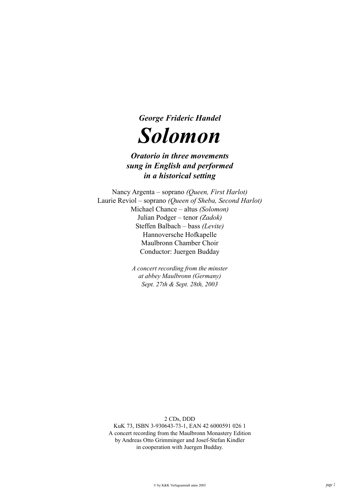

# *Oratorio in three movements sung in English and performed in a historical setting*

Nancy Argenta – soprano *(Queen, First Harlot)* Laurie Reviol – soprano *(Queen of Sheba, Second Harlot)* Michael Chance – altus *(Solomon)* Julian Podger – tenor *(Zadok)* Steffen Balbach – bass *(Levite)* Hannoversche Hofkapelle Maulbronn Chamber Choir Conductor: Juergen Budday

> *A concert recording from the minster at abbey Maulbronn (Germany) Sept. 27th & Sept. 28th, 2003*

> > 2 CDs, DDD

KuK 73, ISBN 3-930643-73-1, EAN 42 6000591 026 1 A concert recording from the Maulbronn Monastery Edition by Andreas Otto Grimminger and Josef-Stefan Kindler in cooperation with Juergen Budday.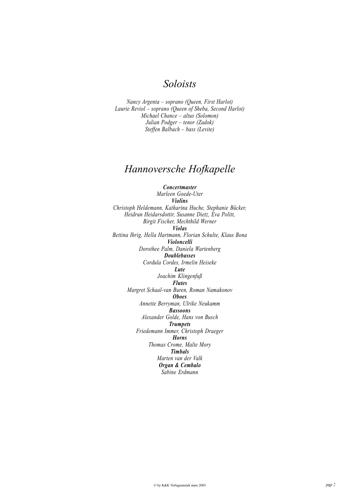# *Soloists*

*Nancy Argenta – soprano (Queen, First Harlot) Laurie Reviol – soprano (Queen of Sheba, Second Harlot) Michael Chance – altus (Solomon) Julian Podger – tenor (Zadok) Steffen Balbach – bass (Levite)*

# *Hannoversche Hofkapelle*

*Concertmaster Marleen Goede-Uter Violins Christoph Heldemann, Katharina Huche, Stephanie Bücker, Heidrun Heidarsdottir, Susanne Dietz, Eva Politt, Birgit Fischer, Mechthild Werner Violas Bettina Ihrig, Hella Hartmann, Florian Schulte, Klaus Bona Violoncelli Dorothee Palm, Daniela Wartenberg Doublebasses Cordula Cordes, Irmelin Heiseke Lute Joachim Klingenfuß Flutes Margret Schaal-van Buren, Roman Namakonov Oboes Annette Berryman, Ulrike Neukamm Bassoons Alexander Golde, Hans von Busch Trumpets Friedemann Immer, Christoph Draeger Horns Thomas Crome, Malte Mory Timbals Marten van der Valk Organ & Cembalo Sabine Erdmann*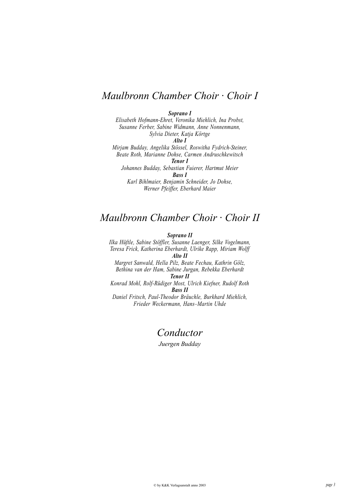# *Maulbronn Chamber Choir · Choir I*

*Soprano I*

*Elisabeth Hofmann-Ehret, Veronika Miehlich, Ina Probst, Susanne Ferber, Sabine Widmann, Anne Nonnenmann, Sylvia Dieter, Katja Körtge Alto I Mirjam Budday, Angelika Stössel, Roswitha Fydrich-Steiner, Beate Roth, Marianne Dohse, Carmen Andruschkewitsch Tenor I Johannes Budday, Sebastian Fuierer, Hartmut Meier Bass I*

*Karl Bihlmaier, Benjamin Schneider, Jo Dohse, Werner Pfeiffer, Eberhard Maier*

# *Maulbronn Chamber Choir · Choir II*

*Soprano II*

*Ilka Hüftle, Sabine Stöffler, Susanne Laenger, Silke Vogelmann, Teresa Frick, Katherina Eberhardt, Ulrike Rapp, Miriam Wolff Alto II*

*Margret Sanwald, Hella Pilz, Beate Fechau, Kathrin Gölz, Bethina van der Ham, Sabine Jurgan, Rebekka Eberhardt Tenor II*

*Konrad Mohl, Rolf-Rüdiger Most, Ulrich Kiefner, Rudolf Roth Bass II*

*Daniel Fritsch, Paul-Theodor Bräuchle, Burkhard Miehlich, Frieder Weckermann, Hans–Martin Uhde*

# *Conductor*

*Juergen Budday*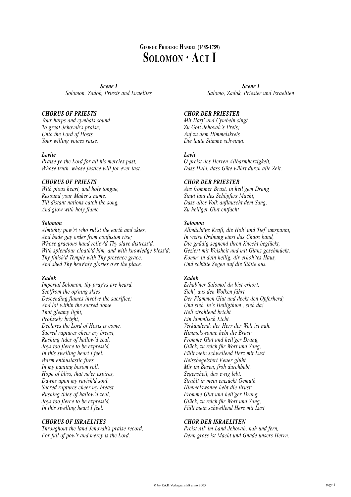# **GEORGE FRIDERIC HANDEL (1685-1759) SOLOMON · ACT I**

*Scene I Solomon, Zadok, Priests and Israelites*

# *CHORUS OF PRIESTS*

*Your harps and cymbals sound To great Jehovah's praise; Unto the Lord of Hosts Your willing voices raise.*

# *Levite*

*Praise ye the Lord for all his mercies past, Whose truth, whose justice will for ever last.*

# *CHORUS OF PRIESTS*

*With pious heart, and holy tongue, Resound your Maker's name, Till distant nations catch the song, And glow with holy flame.*

# *Solomon*

*Almighty pow'r! who rul'st the earth and skies, And bade gay order from confusion rise; Whose gracious hand reliev'd Thy slave distress'd, With splendour cloath'd him, and with knowledge bless'd; Thy finish'd Temple with Thy presence grace, And shed Thy heav'nly glories o'er the place.*

# *Zadok*

*Imperial Solomon, thy pray'rs are heard. See!from the op'ning skies Descending flames involve the sacrifice; And lo! within the sacred dome That gleamy light, Profusely bright, Declares the Lord of Hosts is come. Sacred raptures cheer my breast, Rushing tides of hallow'd zeal, Joys too fierce to be express'd, In this swelling heart I feel. Warm enthusiastic fires In my panting bosom roll, Hope of bliss, that ne'er expires, Dawns upon my ravish'd soul. Sacred raptures cheer my breast, Rushing tides of hallow'd zeal, Joys too fierce to be express'd, In this swelling heart I feel.*

# *CHORUS OF ISRAELITES*

*Throughout the land Jehovah's praise record, For full of pow'r and mercy is the Lord.*

*Scene I Salomo, Zadok, Priester und Israeliten*

# *CHOR DER PRIESTER*

*Mit Harf' und Cymbeln singt Zu Gott Jehovah`s Preis; Auf zu dem Himmelskreis Die laute Stimme schwingt.*

# *Levit*

*O preist des Herren Allbarmherzigkeit, Dass Huld, dass Güte währt durch alle Zeit.*

# *CHOR DER PRIESTER*

*Aus frommer Brust, in heil'gem Drang Singt laut des Schöpfers Macht, Dass alles Volk auflauscht dem Sang, Zu heil'ger Glut entfacht*

# *Solomon*

*Allmächt'ge Kraft, die Höh' und Tief' umspannt, In weise Ordnung einst das Chaos band, Die gnädig segnend ihren Knecht beglückt, Geziert mit Weisheit und mit Glanz geschmückt: Komm' in dein heilig, dir erhöh'tes Haus, Und schütte Segen auf die Stätte aus.*

# *Zadok*

*Erhab'ner Salomo! du bist erhört. Sieh', aus den Wolken fährt Der Flammen Glut und deckt den Opferherd; Und sieh, in`s Heiligthum , sieh da! Hell strahlend bricht Ein himmlisch Licht, Verkündend: der Herr der Welt ist nah. Himmelswonne hebt die Brust: Fromme Glut und heil'ger Drang, Glück, zu reich für Wort und Sang, Füllt mein schwellend Herz mit Lust. Heissbegeistert Feuer glüht Mir im Busen, froh durchbebt, Segensheil, das ewig lebt, Strahlt in mein entzückt Gemüth. Himmelswonne hebt die Brust: Fromme Glut und heil'ger Drang, Glück, zu reich für Wort und Sang, Füllt mein schwellend Herz mit Lust*

# *CHOR DER ISRAELITEN*

*Preist All' im Land Jehovah, nah und fern, Denn gross ist Macht und Gnade unsers Herrn.*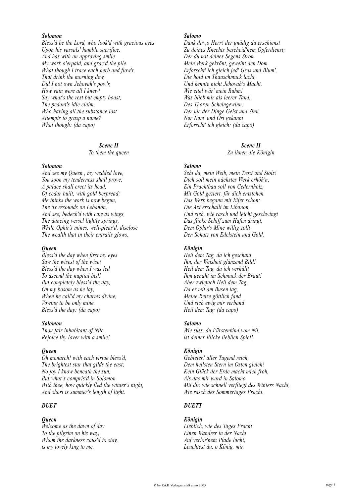### *Solomon*

*Bless'd be the Lord, who look'd with gracious eyes Upon his vassals' humble sacrifice, And has with an approving smile My work o'erpaid, and grac'd the pile. What though I trace each herb and flow'r, That drink the morning dew, Did I not own Jehovah's pow'r, How vain were all I knew! Say what's the rest but empty boast, The pedant's idle claim, Who having all the substance lost Attempts to grasp a name? What though: (da capo)*

> *Scene II To them the queen*

*Solomon*

*And see my Queen , my wedded love, You soon my tenderness shall prove; A palace shall erect its head, Of cedar built, with gold bespread; Me thinks the work is now begun, The ax resounds on Lebanon, And see, bedeck'd with canvas wings, The dancing vessel lightly springs, While Ophir's mines, well-pleas'd, disclose The wealth that in their entrails glows.*

#### *Queen*

*Bless'd the day when first my eyes Saw the wisest of the wise! Bless'd the day when I was led To ascend the nuptial bed! But completely bless'd the day, On my bosom as he lay, When he call'd my charms divine, Vowing to be only mine. Bless'd the day: (da capo)*

#### *Solomon*

*Thou fair inhabitant of Nile, Rejoice thy lover with a smile!*

#### *Queen*

*Oh monarch! with each virtue bless'd, The brightest star that gilds the east; No joy I know beneath the sun, But what`s compris'd in Solomon. With thee, how quickly fled the winter's night, And short is summer's length of light.*

# *DUET*

#### *Queen*

*Welcome as the dawn of day To the pilgrim on his way, Whom the darkness caus'd to stay, is my lovely king to me.*

## *Salomo*

*Dank dir ,o Herr! der gnädig du erschienst Zu deines Knechts bescheid'nem Opferdienst; Der du mit deines Segens Strom Mein Werk gekrönt, geweiht den Dom. Erforscht' ich gleich jed' Gras und Blum', Die hold im Thauschmuck lacht, Und kennte nicht Jehovah's Macht, Wie eitel wär' mein Ruhm! Was blieb mir als leerer Tand, Des Thoren Scheingewinn, Der nie der Dinge Geist und Sinn, Nur Nam' und Ort gekannt Erforscht' ich gleich: (da capo)*

#### *Scene II*

*Zu ihnen die Königin*

# *Salomo*

*Seht da, mein Weib, mein Trost und Stolz! Dich soll mein nächstes Werk erhöh'n; Ein Prachtbau soll von Cedernholz, Mit Gold geziert, für dich entstehen. Das Werk begann mit Eifer schon: Die Axt erschallt im Libanon, Und sieh, wie rasch und leicht geschwingt Das flinke Schiff zum Hafen dringt, Dem Ophir's Mine willig zollt Den Schatz von Edelstein und Gold.*

## *Königin*

*Heil dem Tag, da ich geschaut Ihn, der Weisheit glänzend Bild! Heil dem Tag, da ich verhüllt Ihm genaht im Schmuck der Braut! Aber zwiefach Heil dem Tag, Da er mit am Busen lag, Meine Reize göttlich fand Und sich ewig mir verband Heil dem Tag: (da capo)*

#### *Salomo*

*Wie süss, du Fürstenkind vom Nil, ist deiner Blicke lieblich Spiel!*

# *Königin*

*Gebieter! aller Tugend reich, Dem hellsten Stern im Osten gleich! Kein Glück der Erde macht mich froh, Als das mir ward in Salomo. Mit dir, wie schnell verfliegt des Winters Nacht, Wie rasch des Sommertages Pracht.*

# *DUETT*

# *Königin*

*Lieblich, wie des Tages Pracht Einen Wandrer in der Nacht Auf verlor'nem Pfade lacht, Leuchtest du, o König, mir.*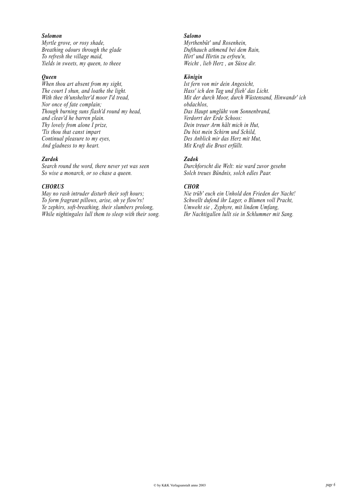# *Solomon*

*Myrtle grove, or rosy shade, Breathing odours through the glade To refresh the village maid, Yields in sweets, my queen, to theee*

# *Queen*

*When thou art absent from my sight, The court I shun, and loathe the light. With thee th'unshelter'd moor I'd tread, Nor once of fate complain; Though burning suns flash'd round my head, and cleav'd he barren plain. Thy lovely from alone I prize, 'Tis thou that canst impart Continual pleasure to my eyes, And gladness to my heart.*

### *Zardok*

*Search round the word, there never yet was seen So wise a monarch, or so chase a queen.*

#### *CHORUS*

*May no rash intruder disturb their soft hours; To form fragrant pillows, arise, oh ye flow'rs! Ye zephirs, soft-breathing, their slumbers prolong, While nightingales lull them to sleep with their song.*

#### *Salomo*

*Myrthenbüt' und Rosenhein, Dufthauch athmend bei dem Rain, Hirt' und Hirtin zu erfreu'n, Weicht , lieb Herz , an Süsse dir.*

# *Königin*

*Ist fern von mir dein Angesicht, Hass' ich den Tag und flieh' das Licht. Mit der durch Moor, durch Wüstensand, Hinwandr' ich obdachlos, Das Haupt umglüht vom Sonnenbrand, Verdorrt der Erde Schoos: Dein treuer Arm hält mich in Hut, Du bist mein Schirm und Schild, Des Anblick mir das Herz mit Mut, Mit Kraft die Brust erfüllt.*

# *Zadok*

*Durchforscht die Welt: nie ward zuvor gesehn Solch treues Bündnis, solch edles Paar.*

# *CHOR*

*Nie trüb' euch ein Unhold den Frieden der Nacht! Schwellt dufend ihr Lager, o Blumen voll Pracht, Umweht sie , Zyphyre, mit lindem Umfang, Ihr Nachtigallen lullt sie in Schlummer mit Sang.*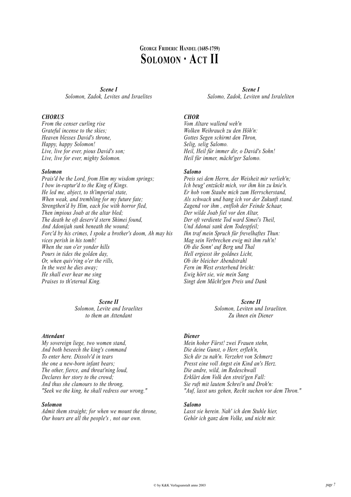# **GEORGE FRIDERIC HANDEL (1685-1759) SOLOMON · ACT II**

*Scene I Solomon, Zadok, Levites and Israelites*

## *CHORUS*

*From the censer curling rise Grateful incense to the skies; Heaven blesses David's throne, Happy, happy Solomon! Live, live for ever, pious David's son; Live, live for ever, mighty Solomon.*

#### *Solomon*

*Prais'd be the Lord, from Him my wisdom springs; I bow in-raptur'd to the King of Kings. He led me, abject, to th'imperial state, When weak, and trembling for my future fate; Strengthen'd by Him, each foe with horror fled, Then impious Joab at the altar bled; The death he oft deserv'd stern Shimei found, And Adonijah sunk beneath the wound; Forc'd by his crimes, I spoke a brother's doom, Ah may his vices perish in his tomb! When the sun o'er yonder hills Pours in tides the golden day, Or, when quiv'ring o'er the rills, In the west he dies away; He shall ever hear me sing Praises to th'eternal King.*

# *Scene II*

*Solomon, Levite and Israelites to them an Attendant*

#### *Attendant*

*My sovereign liege, two women stand, And both beseech the king's command To enter here. Dissolv'd in tears the one a new-born infant bears; The other, fierce, and threat'ning loud, Declares her story to the crowd; And thus she clamours to the throng, "Seek we the king, he shall redress our wrong."*

#### *Solomon*

*Admit them straight; for when we mount the throne, Our hours are all the people's , not our own.*

*Scene I Salomo, Zadok, Leviten und Israleliten*

# *CHOR*

*Vom Altare wallend weh'n Wolken Weihrauch zu den Höh'n: Gottes Segen schirmt den Thron, Selig, selig Salomo. Heil, Heil für immer dir, o David's Sohn! Heil für immer, mächt'ger Salomo.*

#### *Salomo*

*Preis sei dem Herrn, der Weisheit mir verlieh'n; Ich beug' entzückt mich, vor ihm hin zu knie'n. Er hob vom Staube mich zum Herrscherstand, Als schwach und bang ich vor der Zukunft stand. Zagend vor ihm , entfloh der Feinde Schaar, Der wilde Joab fiel vor den Altar, Der oft verdiente Tod ward Simei's Theil, Und Adonai sank dem Todespfeil; Ihn traf mein Spruch für frevelhaftes Thun: Mag sein Verbrechen ewig mit ihm ruh'n! Ob die Sonn' auf Berg und Thal Hell ergiesst ihr goldnes Licht, Ob ihr bleicher Abendstrahl Fern im West ersterbend bricht: Ewig hört sie, wie mein Sang Singt dem Mächt'gen Preis und Dank*

# *Scene II*

*Solomon, Leviten und Israeliten. Zu ihnen ein Diener*

#### *Diener*

*Mein hoher Fürst! zwei Frauen stehn, Die deine Gunst, o Herr, erfleh'n, Sich dir zu nah'n. Verzehrt von Schmerz Presst eine voll Angst ein Kind an's Herz. Die andre, wild, im Redeschwall Erklärt dem Volk den streit'gen Fall: Sie ruft mit lautem Schrei'n und Droh'n: "Auf, lasst uns gehen, Recht suchen vor dem Thron."*

# *Salomo*

*Lasst sie herein. Nah' ich dem Stuhle hier, Gehör ich ganz dem Volke, und nicht mir.*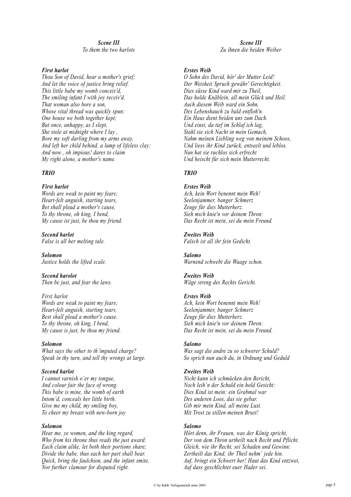# *Scene III To them the two harlots*

# *First harlot*

*Thou Son of David, hear a mother's grief; And let the voice of justice bring relief. This little babe my womb conceiv'd, The smiling infant I with joy receiv'd. That woman also bore a son, Whose vital thread was quickly spun: One house we both together kept; But once, unhappy, as I slept, She stole at midnight where I lay , Bore my soft darling from my arms away, And left her child behind, a lump of lifeless clay: And now , oh impious! dares to claim My right alone, a mother's name.*

# *TRIO*

*First harlot Words are weak to paint my fears; Heart-felt anguish, starting tears, Bet shall plead a mother's cause, To thy throne, oh king, I bend, My cause ist just, be thou my friend.*

*Second harlot False is all her melting tale.*

*Solomon Justice holds the lifted scale.*

*Second harolot Then be just, and fear the laws.*

*First harlot Words are weak to paint my fears; Heart-felt anguish, starting tears, Best shall plead a mother's cause. To thy throne, oh king, I bend, My cause is just, be thou my friend.*

# *Solomon*

*What says the other to th'imputed charge? Speak in thy turn, and tell thy wrongs at large.*

# *Second harlot*

*I cannot varnish o'er my tongue, And colour fair the face of wrong. This babe is mine, the womb of earth Intom'd, conceals her little birth. Give me my child, my smiling boy, To cheer my breast with new-born joy*

# *Solomon*

*Hear me, ye women, and the king regard, Who from his throne thus reads the just award: Each claim alike, let both their portions share; Divide the babe, thus each her part shall bear. Quick, bring the faulchion, and the infant smite, Nor further clamour for disputed right.*

*Scene III Zu ihnen die beiden Weiber*

# *Erstes Weib*

*O Sohn des David, hör' der Mutter Leid! Der Weisheit Spruch gewähr' Gerechtigkeit. Dies süsse Kind ward mir zu Theil, Das holde Knäblein, all mein Glück und Heil. Auch diesem Weib ward ein Sohn, Des Lebenshauch zu bald entfloh'n. Ein Haus dient beiden uns zum Dach. Und einst, da tief im Schlaf ich lag, Stahl sie sich Nacht in mein Gemach, Nahm meinen Liebling weg von meinem Schoos, Und liess ihr Kind zurück, entseelt und leblos. Nun hat sie ruchlos sich erfrecht Und heischt für sich mein Mutterrecht.*

# *TRIO*

#### *Erstes Weib*

*Ach, kein Wort benennt mein Weh! Seelenjammer, banger Schmerz Zeuge für dies Mutterherz. Sieh mich knie'n vor deinem Thron: Das Recht ist mein, sei du mein Freund.*

# *Zweites Weib*

*Falsch ist all ihr fein Gedicht.*

*Salomo Warnend schwebt die Waage schon.*

#### *Zweites Weib Wäge streng des Rechts Gericht.*

# *Erstes Weib*

*Ach, kein Wort benennt mein Weh! Seelenjammer, banger Schmerz Zeuge für dies Mutterherz. Sieh mich knie'n vor deinem Thron: Das Recht ist mein, sei du mein Freund.*

# *Salomo*

*Was sagt die andre zu so schwerer Schuld? So sprich nun auch du, in Ordnung und Geduld*

# *Zweites Weib*

*Nicht kann ich schmücken den Bericht, Noch leih'n der Schuld ein hold Gesicht: Dies Kind ist mein: ein Grabmal war Des anderen Loos, das sie gebar. Gib mir mein Kind, all meine Lust. Mit Trost zu stillen meinen Brust!*

# *Salomo*

*Hört denn, ihr Frauen, was der König spricht, Der von dem Thron urtheilt nach Recht und Pflicht. Gleich, wie ihr Recht, sei Schaden und Gewinn: Zertheilt das Kind; ihr Theil nehm' jede hin. Auf, bringt ein Schwert her! Haut das Kind entzwei, Auf dass geschlichtet euer Hader sei.*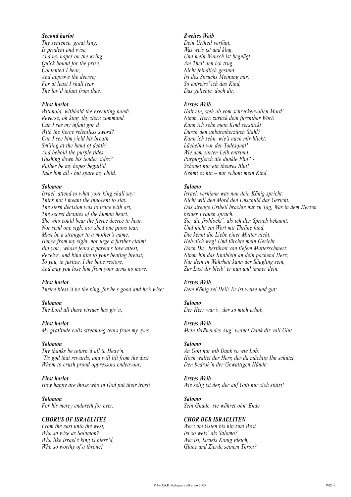# *Second harlot*

*Thy sentence, great king, Is prudent and wise, And my hopes on the wring Quick bound for the prize. Contented I hear, And approve the decree; For at least I shall tear The lov'd infant from thee.*

#### *First harlot*

*Withhold, withhold the executing hand! Reverse, oh king, thy stern command. Can I see my infant gor'd With the fierce relentless sword? Can I see him yield his breath, Smiling at the hand of death? And behold the purple tides Gushing down his tender sides? Rather be my hopes beguil'd, Take him all - but spare my child.*

#### *Solomon*

*Israel, attend to what your king shall say; Think not I meant the innocent to slay. The stern decision was to trace with art, The secret dictates of the human heart. She who could bear the fierce decree to hear, Nor send one sigh, nor shed one pious tear, Must be a stranger to a mother's name. Hence from my sight, nor urge a further claim! But you , whose fears a parent's love attest, Receive, and bind him to your beating breast; To you, in justice, I the babe restore, And may you lose him from your arms no more.*

#### *First harlot*

*Thrice bless'd be the king, for he's good and he's wise;*

*Solomon The Lord all these virtues has giv'n,*

#### *First harlot*

*My gratitude calls streaming tears from my eyes.*

#### *Solomon*

*Thy thanks be return'd all to Heav'n. 'Tis god that rewards, and will lift from the dust Whom to crush proud oppressors endeavour;*

#### *First harlot How happy are those who in God put their trust!*

*Solomon For his mercy endureth for ever.*

# *CHORUS OF ISRAELITES*

*From the east unto the west, Who so wise as Solomon? Who like Israel's king is bless'd, Who so worthy of a throne?*

# *Zweites Weib*

*Dein Urtheil verfügt, Was weis ist und klug, Und mein Wunsch ist begnügt Am Theil den ich trug. Nicht feindlich gesinnt Ist des Spruchs Meinung mir: So entreiss' ich das Kind, Das geliebte, doch dir.*

#### *Erstes Weib*

*Halt ein, steh ab vom schreckenvollen Mord! Nimm, Herr, zurück dein furchtbar Wort! Kann ich sehn mein Kind zerstückt Durch den unbarmherzigen Stahl? Kann ich sehn, wie's nach mir blickt, Lächelnd vor der Todesqual! Wie dem zarten Leib entrinnt Purpurgleich die dunkle Flut? - Schonet nur ein theures Blut! Nehmt es hin – nur schont mein Kind.*

#### *Salomo*

*Israel, vernimm was nun dein König spricht: Nicht will den Mord den Unschuld das Gericht. Das strenge Urtheil brachte nur zu Tag, Was in dem Herzen beider Frauen sprach. Sie, die frohlockt', als ich den Spruch bekannt, Und nicht ein Wort mit Thräne fand, Die kennt die Liebe einer Mutter nicht. Heb dich weg! Und fürchte mein Gericht. Doch Du , bestürmt von tiefem Mutterschmerz, Nimm hin das Knäblein an dein pochend Herz; Nur dein in Wahrheit kann der Säugling sein, Zur Lust dir bleib' er nun und immer dein.*

# *Erstes Weib*

*Dem König sei Heil! Er ist weise und gut;*

#### *Salomo*

*Der Herr war's , der so mich erhob,*

## *Erstes Weib*

*Mein thränendes Aug' weinet Dank dir voll Glut.*

# *Salomo*

*An Gott nur gib Dank so wie Lob. Hoch waltet der Herr, der da mächtig Ihn schützt, Den bedroh'n der Gewaltigen Hände;*

#### *Erstes Weib*

*Wie selig ist der, der auf Gott nur sich stützt!*

#### *Salomo*

*Sein Gnade, sie währet ohn' Ende.*

#### *CHOR DER ISRAELITEN*

*Wer vom Osten bis hin zum West Ist so weis' als Salomo? Wer ist, Israels König gleich, Glanz und Zierde seinem Thron?*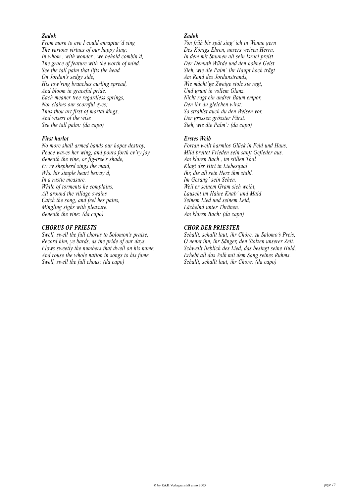# *Zadok*

*From morn to eve I could enraptur'd sing The various virtues of our happy king; In whom , with wonder , we behold combin'd, The grace of feature with the worth of mind. See the tall palm that lifts the head On Jordan's sedgy side, His tow'ring branches curling spread, And bloom in graceful pride. Each meaner tree regardless springs, Nor claims our scornful eyes; Thus thou art first of mortal kings, And wisest of the wise See the tall palm: (da capo)*

# *First harlot*

*No more shall armed bands our hopes destroy, Peace waves her wing, and pours forth ev'ry joy. Beneath the vine, or fig-tree's shade, Ev'ry shepherd sings the maid, Who his simple heart betray'd, In a rustic measure. While of torments he complains, All around the village swains Catch the song, and feel hes pains, Mingling sighs with pleasure. Beneath the vine: (da capo)*

# *CHORUS OF PRIESTS*

*Swell, swell the full chorus to Solomon's praise, Record him, ye bards, as the pride of our days. Flows sweetly the numbers that dwell on his name, And rouse the whole nation in songs to his fame. Swell, swell the full chous: (da capo)*

# *Zadok*

*Von früh bis spät sing' ich in Wonne gern Des Königs Ehren, unsers weisen Herrn, In dem mit Staunen all sein Israel preist Der Demuth Würde und den hohne Geist Sieh, wie die Palm' ihr Haupt hoch trägt Am Rand des Jordanstrands, Wie mächt'ge Zweige stolz sie regt, Und grünt in vollem Glanz. Nicht ragt ein andrer Baum empor, Den ihr du gleichen wirst: So strahlst auch du den Weisen vor, Der grossen grösster Fürst. Sieh, wie die Palm': (da capo)*

# *Erstes Weib*

*Fortan weilt harmlos Glück in Feld und Haus, Mild breitet Frieden sein sanft Gefieder aus. Am klaren Bach , im stillen Thal Klagt der Hirt in Liebesqual Ihr, die all sein Herz ihm stahl. Im Gesang' sein Sehen. Weil er seinem Gram sich weiht, Lauscht im Haine Knab' und Maid Seinem Lied und seinem Leid, Lächelnd unter Thränen. Am klaren Bach: (da capo)*

# *CHOR DER PRIESTER*

*Schallt, schallt laut, ihr Chöre, zu Salomo's Preis, O nennt ihn, ihr Sänger, den Stolzen unserer Zeit. Schwellt lieblich des Lied, das besingt seine Huld, Erhebt all das Volk mit dem Sang seines Ruhms. Schallt, schallt laut, ihr Chöre: (da capo)*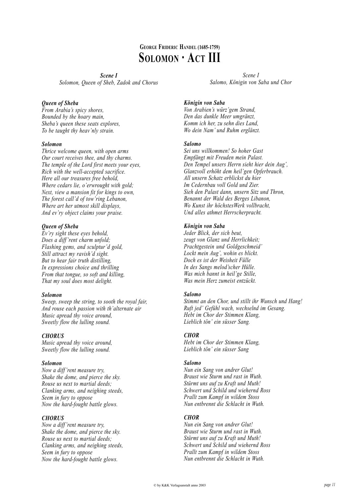# **GEORGE FRIDERIC HANDEL (1685-1759) SOLOMON · ACT III**

*Scene I Solomon, Queen of Sheb, Zadok and Chorus*

# *Queen of Sheba*

*From Arabia's spicy shores, Bounded by the hoary main, Sheba's queen these seats explores, To be taught thy heav'nly strain.*

# *Solomon*

*Thrice welcome queen, with open arms Our court receives thee, and thy charms. The temple of the Lord first meets your eyes, Rich with the well-accepted sacrifice. Here all our treasures free behold, Where cedars lie, o'erwrought with gold; Next, view a mansion fit for kings to own, The forest call'd of tow'ring Lebanon, Where art her utmost skill displays, And ev'ry object claims your praise.*

# *Queen of Sheba*

*Ev'ry sight these eyes behold, Does a diff 'rent charm unfold; Flashing gems, and sculptur'd gold, Still attract my ravish'd sight. But to hear fair truth distilling, In expressions choice and thrilling From that tongue, so soft and killing, That my soul does most delight.*

# *Solomon*

*Sweep, sweep the string, to sooth the royal fair, And rouse each passion with th'alternate air Music apread thy voice around, Sweetly flow the lulling sound.*

# *CHORUS*

*Music apread thy voice around, Sweetly flow the lulling sound.*

# *Solomon*

*Now a diff 'rent measure try, Shake the dome, and pierce the sky. Rouse us next to martial deeds; Clanking arms, and neighing steeds, Seem in fury to oppose Now the hard-fought battle glows.*

# *CHORUS*

*Now a diff 'rent measure try, Shake the dome, and pierce the sky. Rouse us next to martial deeds; Clanking arms, and neighing steeds, Seem in fury to oppose Now the hard-fought battle glows.*

*Scene I Salomo, Königin von Saba und Chor*

# *Königin von Saba*

*Von Arabien's würz'gem Strand, Den das dunkle Meer umgränzt, Komm ich her, zu sehn dies Land, Wo dein Nam' und Ruhm erglänzt.*

# *Salomo*

*Sei uns willkommen! So hoher Gast Empfängt mit Freuden mein Palast. Den Tempel unsers Herrn sieht hier dein Aug', Glanzvoll erhöht dem heil'gen Opferbrauch. All unsern Schatz erblickst du hier Im Cedernbau voll Gold und Zier. Sieh den Palast dann, unsern Sitz und Thron, Benannt der Wald des Berges Libanon, Wo Kunst ihr höchstesWerk vollbracht, Und alles athmet Herrscherpracht.*

# *Königin von Saba*

*Jeder Blick, der sich beut, zeugt von Glanz und Herrlichkeit; Prachtgestein und Goldgeschmeid' Lockt mein Aug', wohin es blickt. Doch es ist der Weisheit Fülle In des Sangs melod'scher Hülle. Was mich bannt in heil'ge Stille, Was mein Herz zumeist entzückt.*

# *Salomo*

*Stimmt an den Chor, und stillt ihr Wunsch und Hang! Ruft jed' Gefühl wach, wechselnd im Gesang. Hebt im Chor der Stimmen Klang, Lieblich tön' ein süsser Sang.*

# *CHOR*

*Hebt im Chor der Stimmen Klang, Lieblich tön' ein süsser Sang*

# *Salomo*

*Nun ein Sang von andrer Glut! Braust wie Sturm und rast in Wuth. Stürmt uns auf zu Kraft und Muth! Schwert und Schild und wiehernd Ross Prallt zum Kampf in wildem Stoss Nun entbrennt die Schlacht in Wuth.*

# *CHOR*

*Nun ein Sang von andrer Glut! Braust wie Sturm und rast in Wuth. Stürmt uns auf zu Kraft und Muth! Schwert und Schild und wiehernd Ross Prallt zum Kampf in wildem Stoss Nun entbrennt die Schlacht in Wuth.*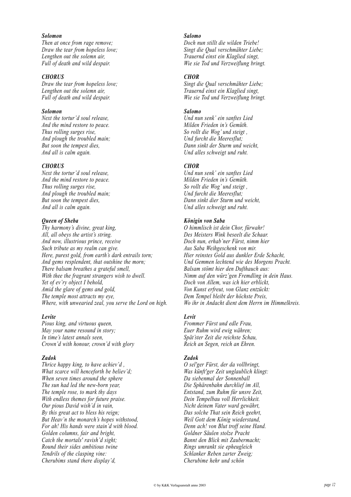# *Solomon*

*Then at once from rage remove; Draw the tear from hopeless love; Lengthen out the solemn air, Full of death and wild despair.*

## *CHORUS*

*Draw the tear from hopeless love; Lengthen out the solemn air, Full of death and wild despair.*

# *Solomon*

*Next the tortur'd soul release, And the mind restore to peace. Thus rolling surges rise, And plough the troubled main; But soon the tempest dies, And all is calm again.*

# *CHORUS*

*Next the tortur'd soul release, And the mind restore to peace. Thus rolling surges rise, And plough the troubled main; But soon the tempest dies, And all is calm again.*

# *Queen of Sheba*

*Thy harmony's divine, great king, All, all obeys the artist's string. And now, illustrious prince, receive Such tribute as my realm can give. Here, purest gold, from earth's dark entrails torn; And gems resplendent, that outshine the morn; There balsam breathes a grateful smell, With thee the fragrant strangers wish to dwell. Yet of ev'ry object I behold, Amid the glare of gems and gold, The temple most attracts my eye, Where, with unwearied zeal, you serve the Lord on high.*

# *Levite*

*Pious king, and virtuous queen, May your name resound in story; In time's latest annals seen, Crown'd with honour, crown'd with glory*

#### *Zadok*

*Thrice happy king, to have achiev'd , What scarce will henceforth be believ'd; When seven times around the sphere The sun had led the new-born year, The temple rose, to mark thy days With endless themes for future praise. Our pious David wish'd in vain, By this great act to bless his reign; But Heav'n the monarch's hopes withstood, For ah! His hands were stain'd with blood. Golden columns, fair and bright, Catch the mortals' ravish'd sight; Round their sides ambitious twine Tendrils of the clasping vine: Cherubims stand there display'd,*

#### *Salomo*

*Doch nun stillt die wilden Triebe! Singt die Qual verschmähter Liebe; Trauernd einst ein Klaglied singt, Wie sie Tod und Verzweiflung bringt.*

## *CHOR*

*Singt die Qual verschmähter Liebe; Trauernd einst ein Klaglied singt, Wie sie Tod und Verzweiflung bringt.*

#### *Salomo*

*Und nun senk' ein sanftes Lied Milden Frieden in's Gemüth. So rollt die Wog' und steigt , Und furcht die Meeresflut; Dann sinkt der Sturm und weicht, Und alles schweigt und ruht.*

#### *CHOR*

*Und nun senk' ein sanftes Lied Milden Frieden in's Gemüth. So rollt die Wog' und steigt , Und furcht die Meeresflut; Dann sinkt dier Sturm und weicht, Und alles schweigt und ruht.*

# *Königin von Saba*

*O himmlisch ist dein Chor, fürwahr! Des Meisters Wink beseelt die Schaar. Doch nun, erhab'ner Fürst, nimm hier Aus Saba Weihgeschenk von mir. Hier reinstes Gold aus dunkler Erde Schacht, Und Gemmen lechtend wie des Morgens Pracht. Balsam stömt hier den Dufthauch aus: Nimm auf den würz'gen Fremdling in dein Haus. Doch von Allem, was ich hier erblickt, Von Kunst erfreut, von Glanz entzückt: Dem Tempel bleibt der höchste Preis, Wo ihr in Andacht dient dem Herrn im Himmelkreis.*

# *Levit*

*Frommer Fürst und edle Frau, Euer Ruhm wird ewig währen; Spät'ster Zeit die reichste Schau, Reich an Segen, reich an Ehren.*

# *Zadok*

*O sel'ger Fürst, der da vollbringt, Was künft'ger Zeit unglaublich klingt: Da siebenmal der Sonnenball Die Sphärenbahn durchlief im All, Entstand, zum Ruhm für unsre Zeit, Dein Tempelbau voll Herrlichkeit. Nicht deinem Vater ward gewährt, Das solche That sein Reich geehrt, Weil Gott dem König wiederstand, Denn ach! von Blut troff seine Hand. Goldner Säulen stolze Pracht Bannt den Blick mit Zaubermacht; Rings umrankt sie epheugleich Schlanker Reben zarter Zweig; Cherubime hehr und schön*